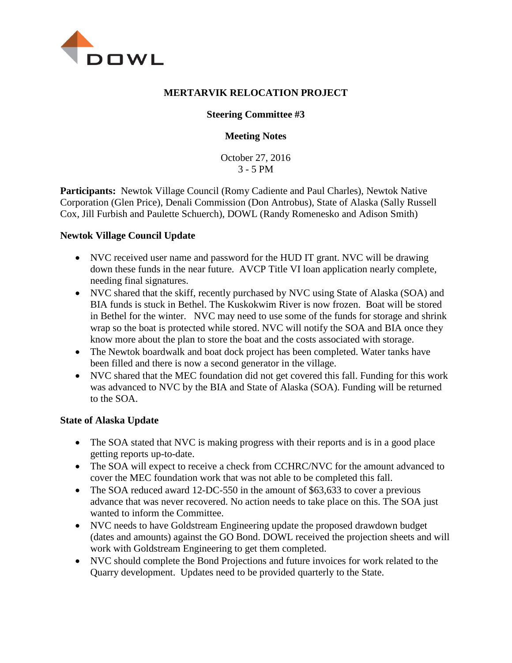

### **MERTARVIK RELOCATION PROJECT**

## **Steering Committee #3**

### **Meeting Notes**

October 27, 2016 3 - 5 PM

**Participants:** Newtok Village Council (Romy Cadiente and Paul Charles), Newtok Native Corporation (Glen Price), Denali Commission (Don Antrobus), State of Alaska (Sally Russell Cox, Jill Furbish and Paulette Schuerch), DOWL (Randy Romenesko and Adison Smith)

### **Newtok Village Council Update**

- NVC received user name and password for the HUD IT grant. NVC will be drawing down these funds in the near future. AVCP Title VI loan application nearly complete, needing final signatures.
- NVC shared that the skiff, recently purchased by NVC using State of Alaska (SOA) and BIA funds is stuck in Bethel. The Kuskokwim River is now frozen. Boat will be stored in Bethel for the winter. NVC may need to use some of the funds for storage and shrink wrap so the boat is protected while stored. NVC will notify the SOA and BIA once they know more about the plan to store the boat and the costs associated with storage.
- The Newtok boardwalk and boat dock project has been completed. Water tanks have been filled and there is now a second generator in the village.
- NVC shared that the MEC foundation did not get covered this fall. Funding for this work was advanced to NVC by the BIA and State of Alaska (SOA). Funding will be returned to the SOA.

#### **State of Alaska Update**

- The SOA stated that NVC is making progress with their reports and is in a good place getting reports up-to-date.
- The SOA will expect to receive a check from CCHRC/NVC for the amount advanced to cover the MEC foundation work that was not able to be completed this fall.
- The SOA reduced award 12-DC-550 in the amount of \$63,633 to cover a previous advance that was never recovered. No action needs to take place on this. The SOA just wanted to inform the Committee.
- NVC needs to have Goldstream Engineering update the proposed drawdown budget (dates and amounts) against the GO Bond. DOWL received the projection sheets and will work with Goldstream Engineering to get them completed.
- NVC should complete the Bond Projections and future invoices for work related to the Quarry development. Updates need to be provided quarterly to the State.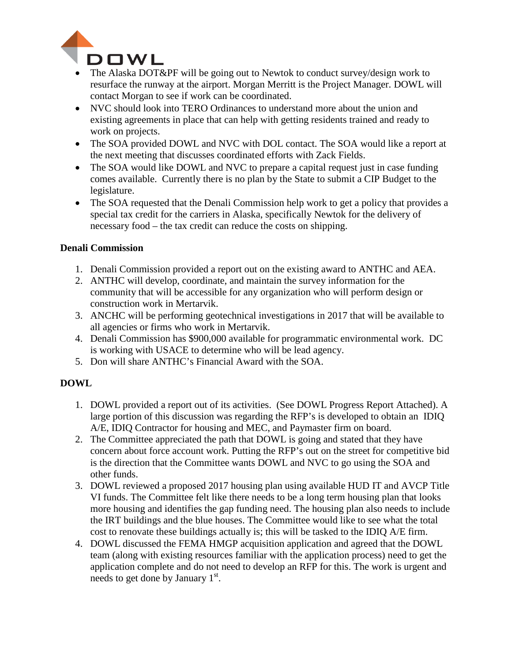

- The Alaska DOT&PF will be going out to Newtok to conduct survey/design work to resurface the runway at the airport. Morgan Merritt is the Project Manager. DOWL will contact Morgan to see if work can be coordinated.
- NVC should look into TERO Ordinances to understand more about the union and existing agreements in place that can help with getting residents trained and ready to work on projects.
- The SOA provided DOWL and NVC with DOL contact. The SOA would like a report at the next meeting that discusses coordinated efforts with Zack Fields.
- The SOA would like DOWL and NVC to prepare a capital request just in case funding comes available. Currently there is no plan by the State to submit a CIP Budget to the legislature.
- The SOA requested that the Denali Commission help work to get a policy that provides a special tax credit for the carriers in Alaska, specifically Newtok for the delivery of necessary food – the tax credit can reduce the costs on shipping.

## **Denali Commission**

- 1. Denali Commission provided a report out on the existing award to ANTHC and AEA.
- 2. ANTHC will develop, coordinate, and maintain the survey information for the community that will be accessible for any organization who will perform design or construction work in Mertarvik.
- 3. ANCHC will be performing geotechnical investigations in 2017 that will be available to all agencies or firms who work in Mertarvik.
- 4. Denali Commission has \$900,000 available for programmatic environmental work. DC is working with USACE to determine who will be lead agency.
- 5. Don will share ANTHC's Financial Award with the SOA.

## **DOWL**

- 1. DOWL provided a report out of its activities. (See DOWL Progress Report Attached). A large portion of this discussion was regarding the RFP's is developed to obtain an IDIQ A/E, IDIQ Contractor for housing and MEC, and Paymaster firm on board.
- 2. The Committee appreciated the path that DOWL is going and stated that they have concern about force account work. Putting the RFP's out on the street for competitive bid is the direction that the Committee wants DOWL and NVC to go using the SOA and other funds.
- 3. DOWL reviewed a proposed 2017 housing plan using available HUD IT and AVCP Title VI funds. The Committee felt like there needs to be a long term housing plan that looks more housing and identifies the gap funding need. The housing plan also needs to include the IRT buildings and the blue houses. The Committee would like to see what the total cost to renovate these buildings actually is; this will be tasked to the IDIQ A/E firm.
- 4. DOWL discussed the FEMA HMGP acquisition application and agreed that the DOWL team (along with existing resources familiar with the application process) need to get the application complete and do not need to develop an RFP for this. The work is urgent and needs to get done by January 1<sup>st</sup>.